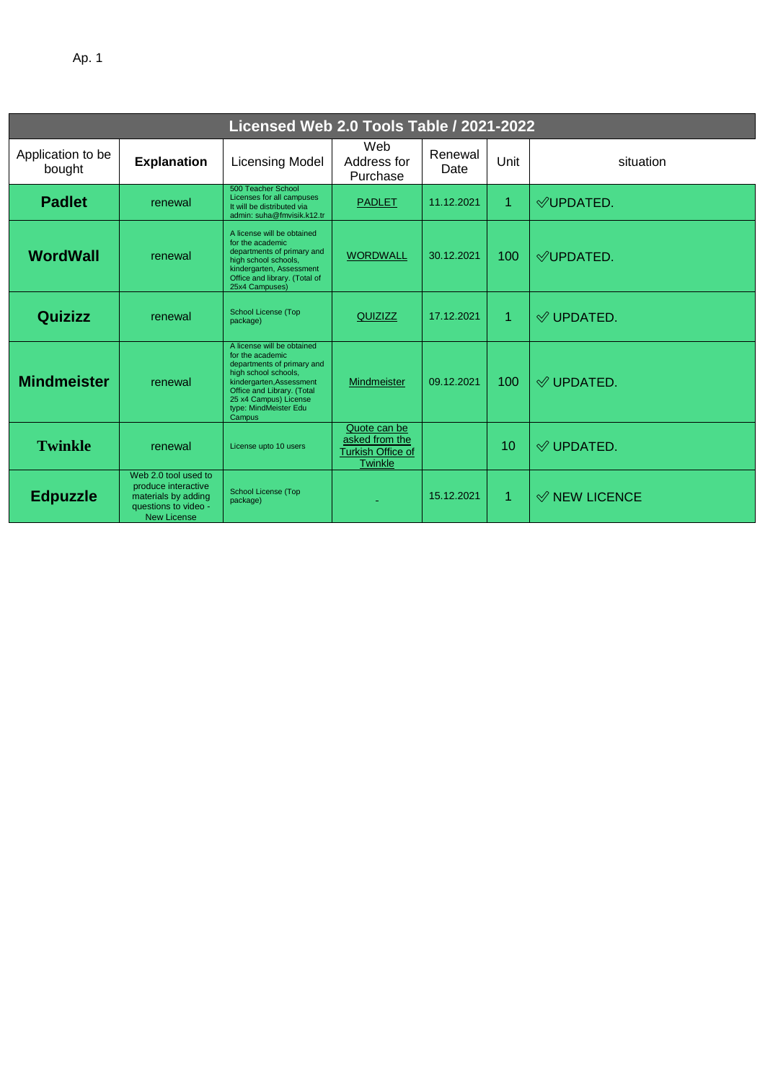| ۰. |  |
|----|--|
|----|--|

| Licensed Web 2.0 Tools Table / 2021-2022 |                                                                                                                  |                                                                                                                                                                                                                            |                                                                       |                 |      |                          |  |
|------------------------------------------|------------------------------------------------------------------------------------------------------------------|----------------------------------------------------------------------------------------------------------------------------------------------------------------------------------------------------------------------------|-----------------------------------------------------------------------|-----------------|------|--------------------------|--|
| Application to be<br>bought              | <b>Explanation</b>                                                                                               | <b>Licensing Model</b>                                                                                                                                                                                                     | Web<br>Address for<br>Purchase                                        | Renewal<br>Date | Unit | situation                |  |
| <b>Padlet</b>                            | renewal                                                                                                          | 500 Teacher School<br>Licenses for all campuses<br>It will be distributed via<br>admin: suha@fmvisik.k12.tr                                                                                                                | <b>PADLET</b>                                                         | 11.12.2021      | 1    | $\mathcal Q$ UPDATED.    |  |
| <b>WordWall</b>                          | renewal                                                                                                          | A license will be obtained<br>for the academic<br>departments of primary and<br>high school schools,<br>kindergarten, Assessment<br>Office and library. (Total of<br>25x4 Campuses)                                        | <b>WORDWALL</b>                                                       | 30.12.2021      | 100  | $\mathcal Q$ UPDATED.    |  |
| <b>Quizizz</b>                           | renewal                                                                                                          | School License (Top<br>package)                                                                                                                                                                                            | QUIZIZZ                                                               | 17.12.2021      | 1    | $\mathcal Q$ UPDATED.    |  |
| <b>Mindmeister</b>                       | renewal                                                                                                          | A license will be obtained<br>for the academic<br>departments of primary and<br>high school schools,<br>kindergarten, Assessment<br>Office and Library. (Total<br>25 x4 Campus) License<br>type: MindMeister Edu<br>Campus | Mindmeister                                                           | 09.12.2021      | 100  | $\mathcal Q$ UPDATED.    |  |
| <b>Twinkle</b>                           | renewal                                                                                                          | License upto 10 users                                                                                                                                                                                                      | Quote can be<br>asked from the<br><b>Turkish Office of</b><br>Twinkle |                 | 10   | $\mathcal Q$ UPDATED.    |  |
| <b>Edpuzzle</b>                          | Web 2.0 tool used to<br>produce interactive<br>materials by adding<br>questions to video -<br><b>New License</b> | <b>School License (Top</b><br>package)                                                                                                                                                                                     |                                                                       | 15.12.2021      | 1    | $\mathcal Q$ NEW LICENCE |  |